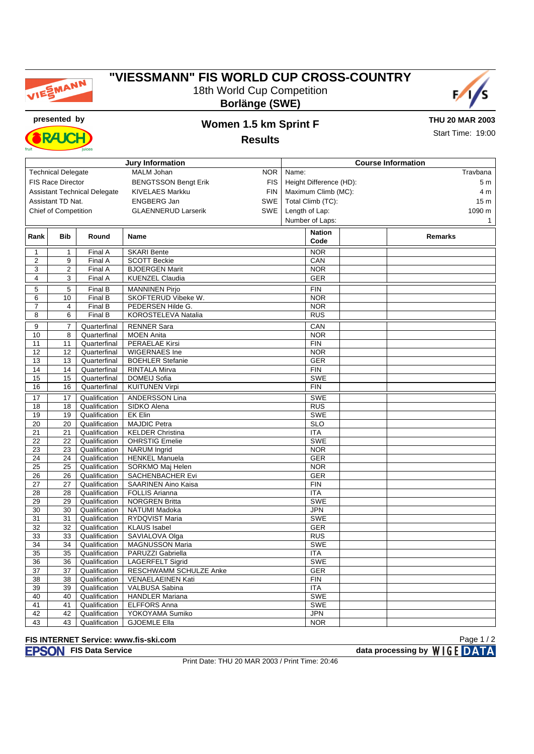

# **"VIESSMANN" FIS WORLD CUP CROSS-COUNTRY** 18th World Cup Competition



**Borlänge (SWE)**



### **presented by Women 1.5 km Sprint F**

**THU 20 MAR 2003** Start Time: 19:00

**Results**

| <b>Jury Information</b>                                      |                                                                       |                                |                                              |  | <b>Course Information</b> |    |                           |  |  |  |
|--------------------------------------------------------------|-----------------------------------------------------------------------|--------------------------------|----------------------------------------------|--|---------------------------|----|---------------------------|--|--|--|
| <b>Technical Delegate</b><br><b>MALM Johan</b><br><b>NOR</b> |                                                                       |                                |                                              |  | Name:<br>Travbana         |    |                           |  |  |  |
|                                                              | <b>FIS Race Director</b><br><b>BENGTSSON Bengt Erik</b><br><b>FIS</b> |                                |                                              |  | Height Difference (HD):   | 5m |                           |  |  |  |
|                                                              | <b>Assistant Technical Delegate</b><br>KIVELAES Markku<br><b>FIN</b>  |                                |                                              |  | Maximum Climb (MC):       |    |                           |  |  |  |
|                                                              | Assistant TD Nat.<br><b>ENGBERG Jan</b><br><b>SWE</b>                 |                                |                                              |  | Total Climb (TC):         |    |                           |  |  |  |
|                                                              | Chief of Competition                                                  |                                | SWE<br><b>GLAENNERUD Larserik</b>            |  | Length of Lap:            |    | 15 <sub>m</sub><br>1090 m |  |  |  |
|                                                              |                                                                       |                                |                                              |  |                           |    |                           |  |  |  |
|                                                              |                                                                       |                                |                                              |  | Number of Laps:           |    | 1                         |  |  |  |
| Rank                                                         | <b>Bib</b>                                                            | Round                          | <b>Name</b>                                  |  | <b>Nation</b>             |    | <b>Remarks</b>            |  |  |  |
|                                                              |                                                                       |                                |                                              |  | Code                      |    |                           |  |  |  |
| $\mathbf{1}$                                                 | $\mathbf{1}$                                                          | Final A                        | <b>SKARI Bente</b>                           |  | <b>NOR</b>                |    |                           |  |  |  |
| $\overline{2}$                                               | 9                                                                     | Final A                        | <b>SCOTT Beckie</b>                          |  | CAN                       |    |                           |  |  |  |
| 3                                                            | $\overline{2}$                                                        | Final A                        | <b>BJOERGEN Marit</b>                        |  | <b>NOR</b>                |    |                           |  |  |  |
| $\overline{4}$                                               | 3                                                                     | Final A                        | <b>KUENZEL Claudia</b>                       |  | GER                       |    |                           |  |  |  |
| 5                                                            | $\overline{5}$                                                        | Final B                        | <b>MANNINEN Pirjo</b>                        |  | FIN                       |    |                           |  |  |  |
| 6                                                            | 10                                                                    | Final B                        | SKOFTERUD Vibeke W.                          |  | <b>NOR</b>                |    |                           |  |  |  |
| $\overline{7}$                                               | $\overline{4}$                                                        | Final B                        | PEDERSEN Hilde G.                            |  | <b>NOR</b>                |    |                           |  |  |  |
| 8                                                            | 6                                                                     | Final B                        | KOROSTELEVA Natalia                          |  | <b>RUS</b>                |    |                           |  |  |  |
| 9                                                            | $\overline{7}$                                                        | Quarterfinal                   | <b>RENNER Sara</b>                           |  | CAN                       |    |                           |  |  |  |
| 10                                                           | 8                                                                     | Quarterfinal                   | <b>MOEN Anita</b>                            |  | <b>NOR</b>                |    |                           |  |  |  |
| 11                                                           | 11                                                                    | Quarterfinal                   | <b>PERAELAE Kirsi</b>                        |  | <b>FIN</b>                |    |                           |  |  |  |
| 12                                                           | 12                                                                    | Quarterfinal                   | <b>WIGERNAES Ine</b>                         |  | <b>NOR</b>                |    |                           |  |  |  |
| 13                                                           | 13                                                                    | Quarterfinal                   | <b>BOEHLER Stefanie</b>                      |  | <b>GER</b>                |    |                           |  |  |  |
| 14                                                           | 14                                                                    | Quarterfinal                   | <b>RINTALA Mirva</b>                         |  | <b>FIN</b>                |    |                           |  |  |  |
| $\overline{15}$                                              | 15                                                                    | Quarterfinal                   | DOMEIJ Sofia                                 |  | SWE                       |    |                           |  |  |  |
| 16                                                           | 16                                                                    | Quarterfinal                   | <b>KUITUNEN Virpi</b>                        |  | <b>FIN</b>                |    |                           |  |  |  |
|                                                              |                                                                       |                                |                                              |  | SWE                       |    |                           |  |  |  |
| 17<br>18                                                     | 17<br>18                                                              | Qualification<br>Qualification | <b>ANDERSSON Lina</b><br>SIDKO Alena         |  | <b>RUS</b>                |    |                           |  |  |  |
|                                                              | 19                                                                    | Qualification                  | <b>EK Elin</b>                               |  | SWE                       |    |                           |  |  |  |
| 19<br>20                                                     | 20                                                                    | Qualification                  | <b>MAJDIC Petra</b>                          |  | <b>SLO</b>                |    |                           |  |  |  |
|                                                              |                                                                       |                                |                                              |  | <b>ITA</b>                |    |                           |  |  |  |
| 21<br>$\overline{22}$                                        | 21                                                                    | Qualification                  | <b>KELDER Christina</b>                      |  | <b>SWE</b>                |    |                           |  |  |  |
| 23                                                           | 22<br>23                                                              | Qualification<br>Qualification | <b>OHRSTIG Emelie</b><br><b>NARUM</b> Ingrid |  | <b>NOR</b>                |    |                           |  |  |  |
| 24                                                           | 24                                                                    | Qualification                  | <b>HENKEL Manuela</b>                        |  | <b>GER</b>                |    |                           |  |  |  |
| $\overline{25}$                                              | $\overline{25}$                                                       | Qualification                  | SORKMO Maj Helen                             |  | <b>NOR</b>                |    |                           |  |  |  |
| 26                                                           | 26                                                                    | Qualification                  | <b>SACHENBACHER Evi</b>                      |  | <b>GER</b>                |    |                           |  |  |  |
| $\overline{27}$                                              | 27                                                                    | Qualification                  | <b>SAARINEN Aino Kaisa</b>                   |  | <b>FIN</b>                |    |                           |  |  |  |
| 28                                                           | 28                                                                    | Qualification                  | <b>FOLLIS Arianna</b>                        |  | <b>ITA</b>                |    |                           |  |  |  |
| 29                                                           | 29                                                                    | Qualification                  | <b>NORGREN Britta</b>                        |  | <b>SWE</b>                |    |                           |  |  |  |
| 30                                                           | 30                                                                    | Qualification                  | NATUMI Madoka                                |  | <b>JPN</b>                |    |                           |  |  |  |
| 31                                                           | 31                                                                    | Qualification                  | RYDQVIST Maria                               |  | SWE                       |    |                           |  |  |  |
| 32                                                           | 32                                                                    | Qualification                  | <b>KLAUS Isabel</b>                          |  | GER                       |    |                           |  |  |  |
| 33                                                           | 33                                                                    | Qualification                  | SAVIALOVA Olga                               |  | <b>RUS</b>                |    |                           |  |  |  |
| 34                                                           | 34                                                                    | Qualification                  | <b>MAGNUSSON Maria</b>                       |  | SWE                       |    |                           |  |  |  |
| 35                                                           | 35                                                                    | Qualification                  | PARUZZI Gabriella                            |  | <b>ITA</b>                |    |                           |  |  |  |
| 36                                                           | 36                                                                    | Qualification                  | <b>LAGERFELT Sigrid</b>                      |  | SWE                       |    |                           |  |  |  |
| 37                                                           | 37                                                                    | Qualification                  | RESCHWAMM SCHULZE Anke                       |  | <b>GER</b>                |    |                           |  |  |  |
| 38                                                           | 38                                                                    | Qualification                  | <b>VENAELAEINEN Kati</b>                     |  | <b>FIN</b>                |    |                           |  |  |  |
| 39                                                           | 39                                                                    | Qualification                  | VALBUSA Sabina                               |  | <b>ITA</b>                |    |                           |  |  |  |
| 40                                                           | 40                                                                    | Qualification                  | <b>HANDLER Mariana</b>                       |  | <b>SWE</b>                |    |                           |  |  |  |
| 41                                                           | 41                                                                    | Qualification                  | <b>ELFFORS Anna</b>                          |  | SWE                       |    |                           |  |  |  |
| 42                                                           | 42                                                                    | Qualification                  | YOKOYAMA Sumiko                              |  | <b>JPN</b>                |    |                           |  |  |  |
| 43                                                           | 43                                                                    | Qualification                  | <b>GJOEMLE Ella</b>                          |  | <b>NOR</b>                |    |                           |  |  |  |

# **FIS INTERNET Service: www.fis-ski.com**

Print Date: THU 20 MAR 2003 / Print Time: 20:46



**FISH OF A FISH OF A FISH OF A FISH OF A FISH OF A FISH OF A FISH OF A FISH OF A FISH OF A FISH OF A FISH OF A FISH OF A FISH OF A FISH OF A FISH OF A FISH OF A FISH OF A FISH OF A FISH OF A FISH OF A FISH OF A FISH OF A F**